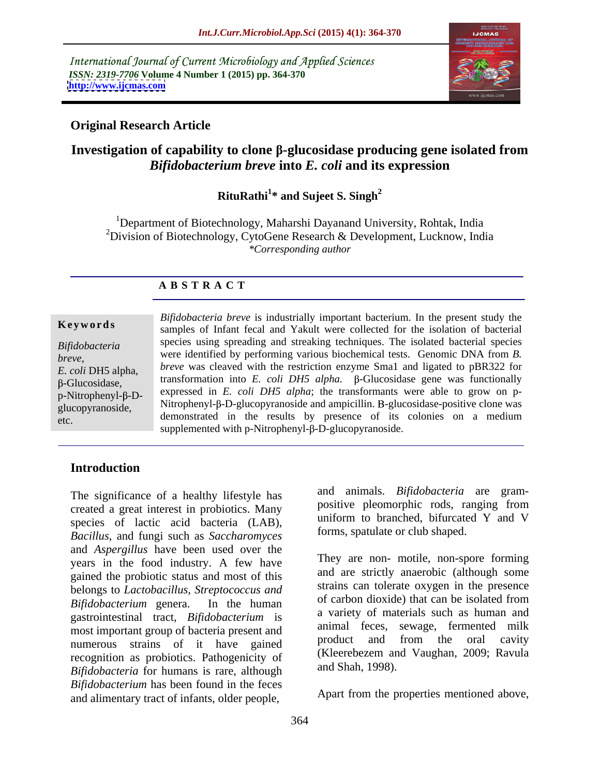International Journal of Current Microbiology and Applied Sciences *ISSN: 2319-7706* **Volume 4 Number 1 (2015) pp. 364-370 <http://www.ijcmas.com>**



## **Original Research Article**

## **Investigation of capability to clone -glucosidase producing gene isolated from**  *Bifidobacterium breve* **into** *E. coli* **and its expression**

### RituRathi<sup>1\*</sup> and Sujeet S. Singh<sup>2</sup> **\* and Sujeet S. Singh<sup>2</sup>**

<sup>1</sup>Department of Biotechnology, Maharshi Dayanand University, Rohtak, India <sup>2</sup>Division of Biotechnology, CytoGene Research & Development, Lucknow, India *\*Corresponding author* 

## **A B S T R A C T**

*breve*, etc.

*Bifidobacteria breve* is industrially important bacterium. In the present study the samples of Infant fecal and Yakult were collected for the isolation of bacterial **Ke ywo rds** species using spreading and streaking techniques. The isolated bacterial species *Bifidobacteria* were identified by performing various biochemical tests. Genomic DNA from *B. breve* was cleaved with the restriction enzyme Sma1 and ligated to pBR322 for *E. coli* DH5 alpha, *breve* was cleaved with the restriction enzyme small and ligated to  $p_{\text{SK322}}$  for transformation into *E. coli* DH5 alpha.  $\beta$ -Glucosidase gene was functionally  $\mu$ -Ditrophenyl- $\beta$ -D- expressed in *E. coli DH5 alpha*; the transformants were able to grow on pglucopyranoside, Nitrophenyl-B-D-glucopyranoside and ampicillin. B-glucosidase-positive clone was alleged and ampicilling and ampicilling and ampicilling and ampicilling and ampicilling and ampicilling and ampicilling and demonstrated in the results by presence of its colonies on a medium supplemented with  $p$ -Nitrophenyl- $\beta$ -D-glucopyranoside.

## **Introduction**

The significance of a healthy lifestyle has created a great interest in probiotics. Many species of lactic acid bacteria (LAB), *Bacillus*, and fungi such as *Saccharomyces*  and *Aspergillus* have been used over the years in the food industry. A few have gained the probiotic status and most of this belongs to *Lactobacillus, Streptococcus and* strains can tolerate oxygen in the presence<br>p:fidebacterium coners in the hymne of carbon dioxide) that can be isolated from *Bifidobacterium* genera. In the human gastrointestinal tract, *Bifidobacterium* is most important group of bacteria present and<br>multiproduct and from the oral cavity numerous strains of it have gained recognition as probiotics. Pathogenicity of (Kleerebezem and Shah, 1998). *Bifidobacteria* for humans is rare, although *Bifidobacterium* has been found in the feces and alimentary tract of infants, older people,

and animals. *Bifidobacteria* are gram positive pleomorphic rods, ranging from uniform to branched, bifurcated Y and V forms, spatulate or club shaped.

They are non- motile, non-spore forming and are strictly anaerobic (although some strains can tolerate oxygen in the presence of carbon dioxide) that can be isolated from a variety of materials such as human and animal feces, sewage, fermented milk product and from the oral cavity (Kleerebezem and Vaughan, 2009; Ravula and Shah, 1998).

Apart from the properties mentioned above,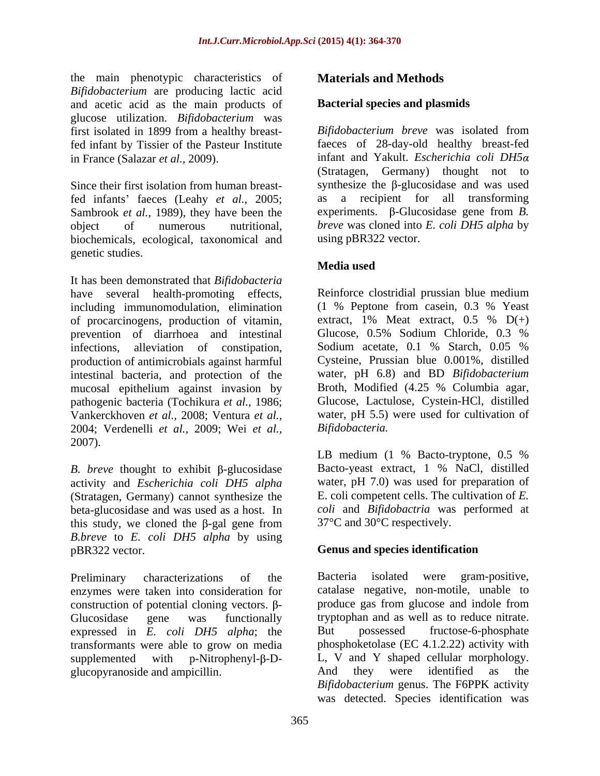the main phenotypic characteristics of *Bifidobacterium* are producing lactic acid and acetic acid as the main products of glucose utilization. *Bifidobacterium* was fed infant by Tissier of the Pasteur Institute

Since their first isolation from human breastfed infants' faeces (Leahy *et al.*, 2005; Sambrook *et al.,* 1989), they have been the biochemicals, ecological, taxonomical and genetic studies.

It has been demonstrated that *Bifidobacteria* have several health-promoting effects, Reinforce clostridial prussian blue medium including immunomodulation, elimination (1 % Peptone from casein, 0.3 % Yeast of procarcinogens, production of vitamin. extract, 1% Meat extract, 0.5 %  $D(+)$ of procarcinogens, production of vitamin, prevention of diarrhoea and intestinal Glucose, 0.5% Sodium Chloride, 0.3 % infections, alleviation of constipation, Sodium acetate, 0.1 % Starch, 0.05 % production of antimicrobials against harmful intestinal bacteria, and protection of the mucosal epithelium against invasion by pathogenic bacteria (Tochikura *et al.,* 1986; Vankerckhoven *et al.,* 2008; Ventura *et al.,* 2004; Verdenelli *et al.,* 2009; Wei *et al.,* 2007).

*B. breve* thought to exhibit  $\beta$ -glucosidase activity and *Escherichia coli DH5 alpha* (Stratagen, Germany) cannot synthesize the beta-glucosidase and was used as a host. In this study, we cloned the  $\beta$ -gal gene from *B.breve* to *E. coli DH5 alpha* by using pBR322 vector. **Genus and species identification**

Preliminary characterizations of the Bacteria isolated were gram-positive, enzymes were taken into consideration for construction of potential cloning vectors.  $\beta$ -Glucosidase gene was functionally tryptophan and as well as to reduce nitrate. expressed in *E. coli DH5 alpha*; the transformants were able to grow on media  $supplemented$  with p-Nitrophenyl- $\beta$ -D- L, V and Y shaped cellular morphology. glucopyranoside and ampicillin. And they were identified as the

## **Materials and Methods**

## **Bacterial species and plasmids**

first isolated in 1899 from a healthy breast-<br>Bifidobacterium breve was isolated from in France (Salazar *et al.,* 2009). infant and Yakult. *Escherichia coli DH5* object of numerous nutritional, *breve* was cloned into *E. coli DH5 alpha* by *Bifidobacterium breve* was isolated from faeces of 28-day-old healthy breast-fed (Stratagen, Germany) thought not to synthesize the  $\beta$ -glucosidase and was used as a recipient for all transforming experiments.  $\beta$ -Glucosidase gene from *B*. using pBR322 vector.

## **Media used**

(1 % Peptone from casein, 0.3 % Yeast extract,  $1\%$  Meat extract,  $0.5\%$  D(+) Glucose, 0.5% Sodium Chloride, 0.3 % Sodium acetate, 0.1 % Starch, 0.05 % Cysteine, Prussian blue 0.001%, distilled water, pH 6.8) and BD *Bifidobacterium* Broth, Modified (4.25 % Columbia agar, Glucose, Lactulose, Cystein-HCl, distilled water, pH 5.5) were used for cultivation of *Bifidobacteria.*

LB medium (1 % Bacto-tryptone, 0.5 % Bacto-yeast extract, 1 % NaCl, distilled water, pH 7.0) was used for preparation of E. coli competent cells. The cultivation of *E. coli* and *Bifidobactria* was performed at 37°C and 30°C respectively.

Bacteria isolated were gram-positive, catalase negative, non-motile, unable to produce gas from glucose and indole from But possessed fructose-6-phosphate phosphoketolase (EC 4.1.2.22) activity with And they were identified as the *Bifidobacterium* genus. The F6PPK activity was detected. Species identification was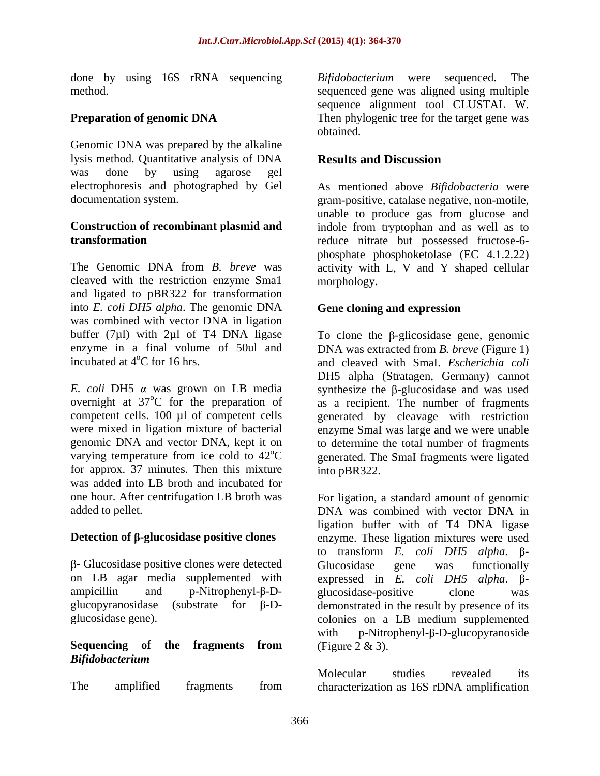done by using 16S rRNA sequencing Bifidobacterium were sequenced. The

Genomic DNA was prepared by the alkaline lysis method. Quantitative analysis of DNA **Results and Discussion** was done by using agarose gel

The Genomic DNA from *B. breve* was activity with L, V and Y shaped cellular cleaved with the restriction enzyme Sma1 and ligated to pBR322 for transformation into *E. coli DH5 alpha*. The genomic DNA was combined with vector DNA in ligation buffer  $(7\mu l)$  with 2 $\mu l$  of T4 DNA ligase

for approx. 37 minutes. Then this mixture into pBR322. was added into LB broth and incubated for

 $\beta$ - Glucosidase positive clones were detected Glucosidase gene was functionally

# *Bifidobacterium*

method. sequenced gene was aligned using multiple **Preparation of genomic DNA** Then phylogenic tree for the target gene was *Bifidobacterium* were sequenced. sequence alignment tool CLUSTAL W. obtained.

## **Results and Discussion**

electrophoresis and photographed by Gel As mentioned above *Bifidobacteria* were documentation system. gram-positive, catalase negative, non-motile, **Construction of recombinant plasmid and** indole from tryptophan and as well as to **transformation** reduce nitrate but possessed fructose-6 unable to produce gas from glucose and phosphate phosphoketolase (EC 4.1.2.22) morphology.

## **Gene cloning and expression**

enzyme in a final volume of 50ul and DNA was extracted from *B. breve* (Figure 1) incubated at 4<sup>°</sup>C for 16 hrs. and cleaved with SmaI. *Escherichia coli E. coli* DH5  $\alpha$  was grown on LB media synthesize the  $\beta$ -glucosidase and was used overnight at  $37^{\circ}$ C for the preparation of as a recipient. The number of fragments competent cells. 100 µl of competent cells generated by cleavage with restriction were mixed in ligation mixture of bacterial enzyme SmaI was large and we were unable genomic DNA and vector DNA, kept it on to determine the total number of fragments varying temperature from ice cold to  $42^{\circ}$ C generated. The SmaI fragments were ligated To clone the  $\beta$ -glicosidase gene, genomic DH5 alpha (Stratagen, Germany) cannot into pBR322.

one hour. After centrifugation LB broth was For ligation, a standard amount of genomic added to pellet. DNA was combined with vector DNA in **Detection of β-glucosidase positive clones** enzyme. These ligation mixtures were used on LB agar media supplemented with expressed in *E. coli DH5 alpha*. β- $\alpha$  ampicillin and  $p$ -Nitrophenyl- $\beta$ -D- glucosidase-positive clone was glucopyranosidase (substrate for  $\beta$ -D- demonstrated in the result by presence of its glucosidase gene). colonies on a LB medium supplemented **Sequencing of the fragments from** ligation buffer with of T4 DNA ligase to transform *E. coli DH5 alpha*.  $\beta$ -Glucosidase gene was functionally glucosidase-positive clone was with  $p-Nitrophenyl-\beta-D-glucopy ranoside$ (Figure 2 & 3).

The amplified fragments from characterization as 16S rDNA amplificationMolecular studies revealed its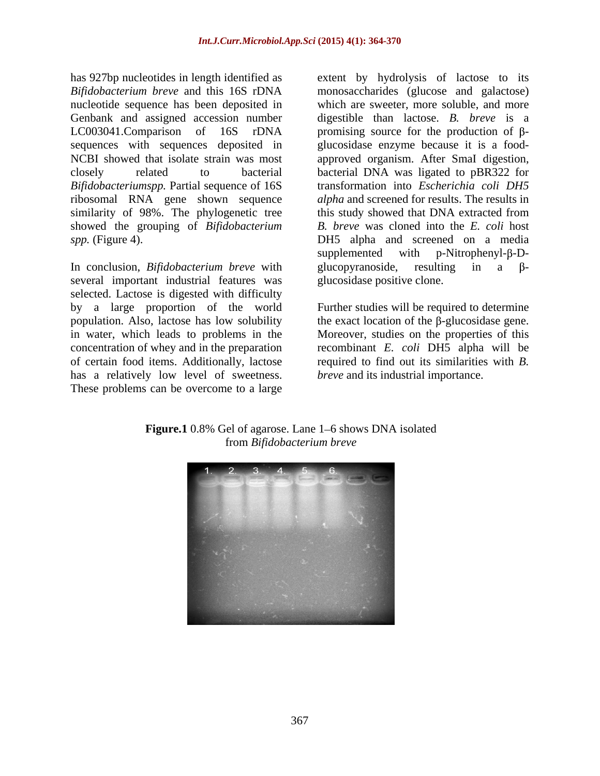has 927bp nucleotides in length identified as extent by hydrolysis of lactose to its *Bifidobacterium breve* and this 16S rDNA monosaccharides (glucose and galactose) nucleotide sequence has been deposited in Genbank and assigned accession number digestible than lactose. *B. breve* is a LC003041. Comparison of  $16S$  rDNA promising source for the production of  $\beta$ sequences with sequences deposited in NCBI showed that isolate strain was most approved organism. After SmaI digestion, closely related to bacterial bacterial DNA was ligated to pBR322 for *Bifidobacteriumspp.* Partial sequence of 16S ribosomal RNA gene shown sequence similarity of 98%. The phylogenetic tree this study showed that DNA extracted from showed the grouping of *Bifidobacterium*

In conclusion, *Bifidobacterium breve* with glucopyranoside, resulting in a  $\beta$ several important industrial features was selected. Lactose is digested with difficulty has a relatively low level of sweetness. These problems can be overcome to a large

*spp.* (Figure 4). DH5 alpha and screened on a media which are sweeter, more soluble, and more glucosidase enzyme because it is a food transformation into *Escherichia coli DH5 alpha* and screened for results. The results in *B. breve* was cloned into the *E. coli* host  $supplemented$  with p-Nitrophenyl- $\beta$ -Dglucopyranoside, resulting in a  $\beta$ glucosidase positive clone.

by a large proportion of the world Further studies will be required to determine population. Also, lactose has low solubility the exact location of the  $\beta$ -glucosidase gene. in water, which leads to problems in the Moreover, studies on the properties of this concentration of whey and in the preparation recombinant *E. coli* DH5 alpha will be of certain food items. Additionally, lactose required to find out its similarities with *B. breve* and its industrial importance.



**Figure.1** 0.8% Gel of agarose. Lane 1–6 shows DNA isolated from *Bifidobacterium breve*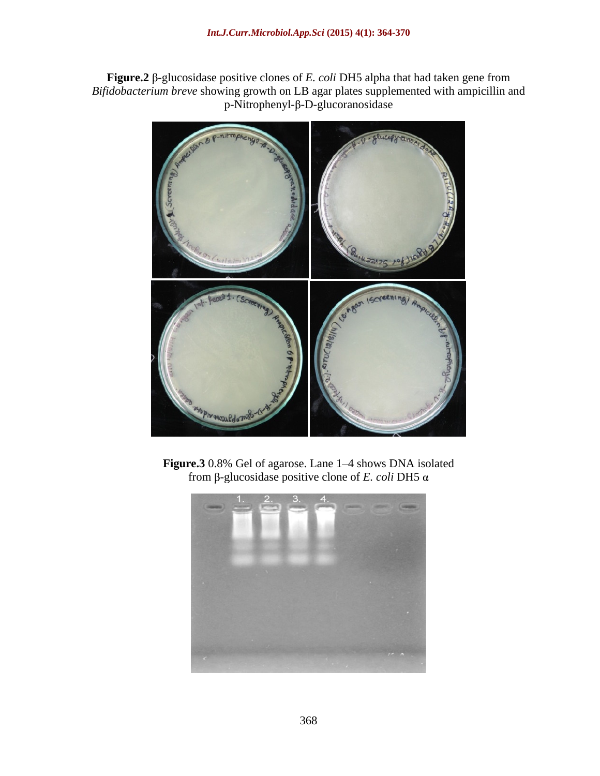Figure.2  $\beta$ -glucosidase positive clones of *E. coli* DH5 alpha that had taken gene from *Bifidobacterium breve* showing growth on LB agar plates supplemented with ampicillin and  $p-Nitrophenyl-\beta-D-glucorano sidase$ 



**Figure.3** 0.8% Gel of agarose. Lane 1–4 shows DNA isolated from  $\beta$ -glucosidase positive clone of *E. coli* DH5  $\alpha$ 

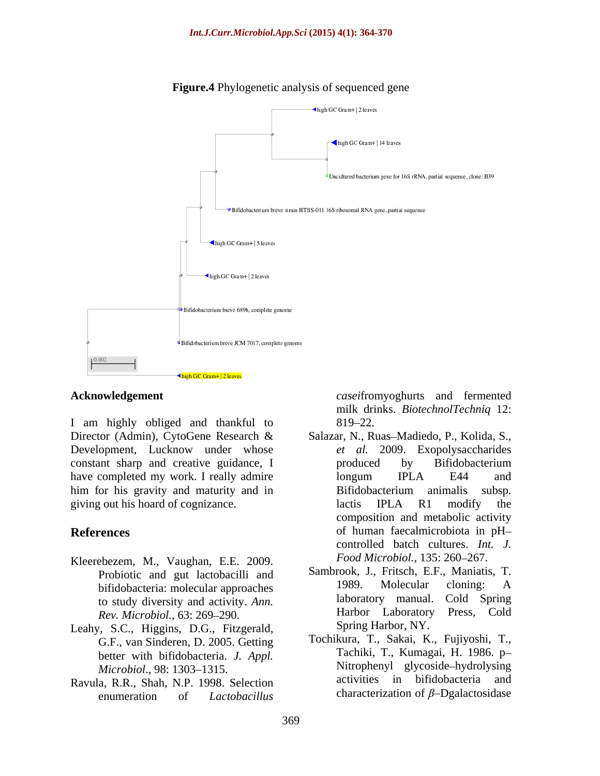

## **Figure.4** Phylogenetic analysis of sequenced gene

I am highly obliged and thankful to 819–22. Development, Lucknow under whose constant sharp and creative guidance, I have completed my work. I really admire have longum IPLA E44 and him for his gravity and maturity and in Bifidobacterium animalis subsp. giving out his hoard of cognizance. lactis IPLA R1 modify the

- Kleerebezem, M., Vaughan, E.E. 2009. *Rev. Microbiol., 63: 269-290.*
- Leahy, S.C., Higgins, D.G., Fitzgerald, G.F., van Sinderen, D. 2005. Getting better with bifidobacteria. *J. Appl.*
- Ravula, R.R., Shah, N.P. 1998. Selection enumeration of *Lactobacillus* characterization of  $\beta$ -Dgalactosidase

**Acknowledgement** *casei*fromyoghurts and fermented milk drinks. *BiotechnolTechniq* 12: 819–22.

- Director (Admin), CytoGene Research & Salazar, N., Ruas-Madiedo, P., Kolida, S., **References** of human faecalmicrobiota in pH*et al.* 2009. Exopolysaccharides produced by Bifidobacterium longum IPLA E44 and Bifidobacterium animalis subsp. lactis IPLA R1 modify the composition and metabolic activity of human faecalmicrobiota in pH controlled batch cultures. *Int. J. Food Microbiol.,* 135: 260–267.
	- Probiotic and gut lactobacilli and Sambrook, J., Fritsch, E.F., Maniatis, T.<br>hifidobacteria: molecular approaches 1989. Molecular cloning: A bifidobacteria: molecular approaches<br>to study diversity and activity Ann aboratory manual. Cold Spring to study diversity and activity. *Ann.* laboratory manual. Cold Spring<br> *Rev Microbiol* 63:269–290<br> **Harbor Laboratory Press, Cold** Sambrook, J., Fritsch, E.F., Maniatis, T. 1989. Molecular cloning: A laboratory manual. Cold Spring Harbor Laboratory Press*,* Cold Spring Harbor, NY.
	- *Microbiol.*, 98: 1303–1315. Nitrophenyl glycoside–hydrolysing Tochikura, T., Sakai, K., Fujiyoshi, T., Tachiki, T., Kumagai, H. 1986. p Nitrophenyl glycoside hydrolysing activities in bifidobacteria and